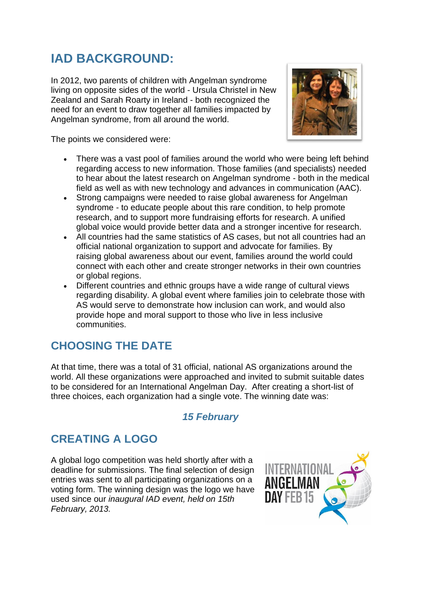# **IAD BACKGROUND:**

In 2012, two parents of children with Angelman syndrome living on opposite sides of the world - Ursula Christel in New Zealand and Sarah Roarty in Ireland - both recognized the need for an event to draw together all families impacted by Angelman syndrome, from all around the world.



The points we considered were:

- There was a vast pool of families around the world who were being left behind regarding access to new information. Those families (and specialists) needed to hear about the latest research on Angelman syndrome - both in the medical field as well as with new technology and advances in communication (AAC).
- Strong campaigns were needed to raise global awareness for Angelman syndrome - to educate people about this rare condition, to help promote research, and to support more fundraising efforts for research. A unified global voice would provide better data and a stronger incentive for research.
- All countries had the same statistics of AS cases, but not all countries had an official national organization to support and advocate for families. By raising global awareness about our event, families around the world could connect with each other and create stronger networks in their own countries or global regions.
- Different countries and ethnic groups have a wide range of cultural views regarding disability. A global event where families join to celebrate those with AS would serve to demonstrate how inclusion can work, and would also provide hope and moral support to those who live in less inclusive communities.

## **CHOOSING THE DATE**

At that time, there was a total of 31 official, national AS organizations around the world. All these organizations were approached and invited to submit suitable dates to be considered for an International Angelman Day. After creating a short-list of three choices, each organization had a single vote. The winning date was:

#### *15 February*

## **CREATING A LOGO**

A global logo competition was held shortly after with a deadline for submissions. The final selection of design entries was sent to all participating organizations on a voting form. The winning design was the logo we have used since our *inaugural IAD event, held on 15th February, 2013.*